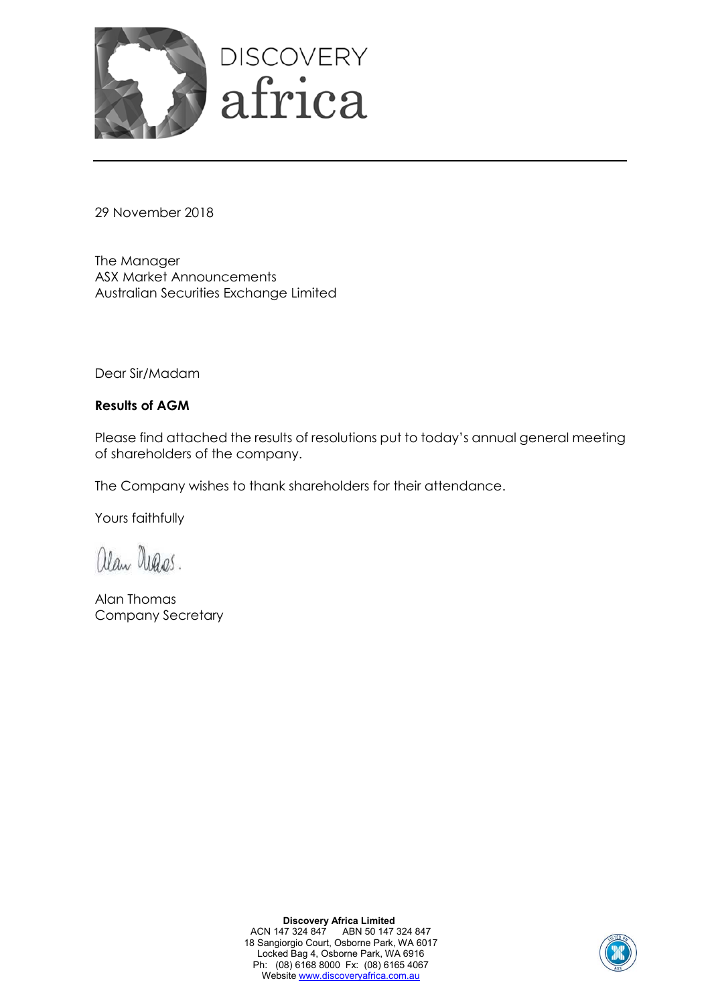

29 November 2018

The Manager ASX Market Announcements Australian Securities Exchange Limited

Dear Sir/Madam

## **Results of AGM**

Please find attached the results of resolutions put to today's annual general meeting of shareholders of the company.

The Company wishes to thank shareholders for their attendance.

Yours faithfully

alan Degas.

Alan Thomas Company Secretary